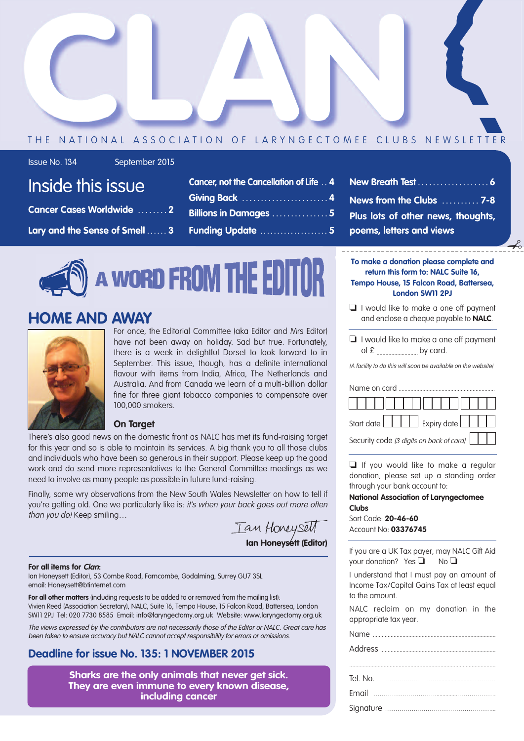

#### THE NATIONAL ASSOCIATION OF LARYNGECTOMEE CLUBS NEWSLETTER

Issue No. 134 September 2015

|  | <b>Inside this issue</b> |
|--|--------------------------|
|  |                          |
|  |                          |

- **Cancer Cases Worldwide . . . . . . . . 2**
- **Lary and the Sense of Smell . . . . . . 3**

| Cancer, not the Cancellation of Life 4 |
|----------------------------------------|
| Giving Back 4                          |
| <b>Billions in Damages 5</b>           |
| <b>Funding Update  5</b>               |

**New Breath Test . . . . . . . . . . . . . . . . . . . 6 News from the Clubs . . . . . . . . . . 7-8 Plus lots of other news, thoughts, poems, letters and views**

 $-\xi$ 

# A WORD FROM THE EDITOR

### **HOME AND AWAY**



For once, the Editorial Committee (aka Editor and Mrs Editor) have not been away on holiday. Sad but true. Fortunately, there is a week in delightful Dorset to look forward to in September. This issue, though, has a definite international flavour with items from India, Africa, The Netherlands and Australia. And from Canada we learn of a multi-billion dollar fine for three giant tobacco companies to compensate over 100,000 smokers.

#### **On Target**

There's also good news on the domestic front as NALC has met its fund-raising target for this year and so is able to maintain its services. A big thank you to all those clubs and individuals who have been so generous in their support. Please keep up the good work and do send more representatives to the General Committee meetings as we need to involve as many people as possible in future fund-raising.

Finally, some wry observations from the New South Wales Newsletter on how to tell if you're getting old. One we particularly like is: it's when your back goes out more often than you do! Keep smiling...

**Ian Honeysett (Editor)**

#### **For all items for Clan:**

Ian Honeysett (Editor), 53 Combe Road, Farncombe, Godalming, Surrey GU7 3SL email: Honeysett@btinternet.com

**For all other matters** (including requests to be added to or removed from the mailing list): Vivien Reed (Association Secretary), NALC, Suite 16, Tempo House, 15 Falcon Road, Battersea, London SW11 2PJ Tel: 020 7730 8585 Email: info@laryngectomy.org.uk Website: www.laryngectomy.org.uk

The views expressed by the contributors are not necessarily those of the Editor or NALC. Great care has been taken to ensure accuracy but NALC cannot accept responsibility for errors or omissions.

### **Deadline for issue No. 135: 1 NOVEMBER 2015**

**Sharks are the only animals that never get sick. They are even immune to every known disease, including cancer**

- **To make a donation please complete and return this form to: NALC Suite 16, Tempo House, 15 Falcon Road, Battersea, London SW11 2PJ**
- $\Box$  I would like to make a one off payment and enclose a cheque payable to **NALC**.
- $\Box$  I would like to make a one off payment  $of  $\epsilon$$  by card.

(A facility to do this will soon be available on the website)

| Name on card                             |
|------------------------------------------|
|                                          |
| Start date <b>Expiry date</b>            |
| Security code (3 digits on back of card) |

 $\Box$  If you would like to make a regular donation, please set up a standing order through your bank account to:

#### **National Association of Laryngectomee Clubs**

Sort Code: **20-46-60** Account No: **03376745**

If you are a UK Tax payer, may NALC Gift Aid your donation? Yes  $\Box$  No  $\Box$ 

I understand that I must pay an amount of Income Tax/Capital Gains Tax at least equal to the amount.

NALC reclaim on my donation in the appropriate tax year.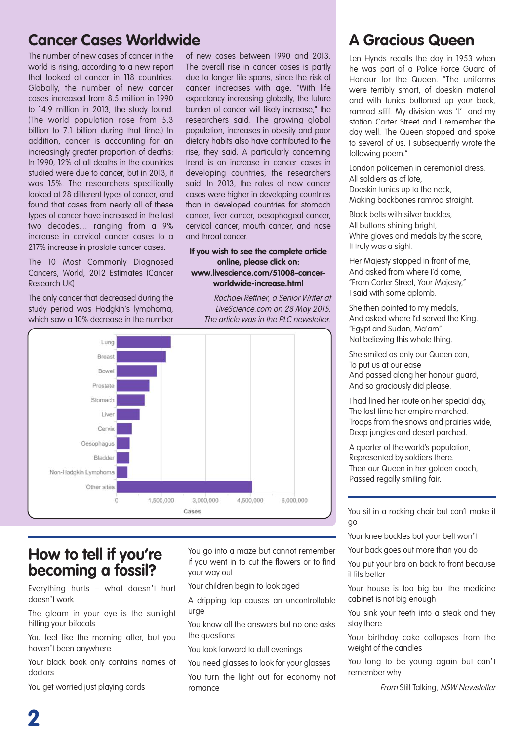### **Cancer Cases Worldwide A** Gracious Queen

The number of new cases of cancer in the world is rising, according to a new report that looked at cancer in 118 countries. Globally, the number of new cancer cases increased from 8.5 million in 1990 to 14.9 million in 2013, the study found. (The world population rose from 5.3 billion to 7.1 billion during that time.) In addition, cancer is accounting for an increasingly greater proportion of deaths: In 1990, 12% of all deaths in the countries studied were due to cancer, but in 2013, it was 15%. The researchers specifically looked at 28 different types of cancer, and found that cases from nearly all of these types of cancer have increased in the last two decades… ranging from a 9% increase in cervical cancer cases to a 217% increase in prostate cancer cases.

The 10 Most Commonly Diagnosed Cancers, World, 2012 Estimates (Cancer Research UK)

The only cancer that decreased during the study period was Hodgkin's lymphoma, which saw a 10% decrease in the number

of new cases between 1990 and 2013. The overall rise in cancer cases is partly due to longer life spans, since the risk of cancer increases with age. "With life expectancy increasing globally, the future burden of cancer will likely increase," the researchers said. The growing global population, increases in obesity and poor dietary habits also have contributed to the rise, they said. A particularly concerning trend is an increase in cancer cases in developing countries, the researchers said. In 2013, the rates of new cancer cases were higher in developing countries than in developed countries for stomach cancer, liver cancer, oesophageal cancer, cervical cancer, mouth cancer, and nose and throat cancer.

#### **If you wish to see the complete article online, please click on: www.livescience.com/51008-cancerworldwide-increase.html**

Rachael Rettner, <sup>a</sup> Senior Writer at LiveScience.com on 28 May 2015. The article was in the PLC newsletter.



### **How to tell if you're becoming a fossil?**

Everything hurts – what doesn't hurt doesn't work

The gleam in your eye is the sunlight hitting your bifocals

You feel like the morning after, but you haven't been anywhere

Your black book only contains names of doctors

You get worried just playing cards

You go into a maze but cannot remember if you went in to cut the flowers or to find your way out

Your children begin to look aged

A dripping tap causes an uncontrollable urge

You know all the answers but no one asks the questions

You look forward to dull evenings

You need glasses to look for your glasses

You turn the light out for economy not romance

Len Hynds recalls the day in 1953 when he was part of a Police Force Guard of Honour for the Queen. "The uniforms were terribly smart, of doeskin material and with tunics buttoned up your back, ramrod stiff. My division was 'L' and my station Carter Street and I remember the day well. The Queen stopped and spoke to several of us. I subsequently wrote the following poem."

London policemen in ceremonial dress, All soldiers as of late, Doeskin tunics up to the neck, Making backbones ramrod straight.

Black belts with silver buckles, All buttons shining bright, White gloves and medals by the score, It truly was a sight.

Her Majesty stopped in front of me, And asked from where I'd come, "From Carter Street, Your Majesty," I said with some aplomb.

She then pointed to my medals, And asked where I'd served the King. "Egypt and Sudan, Ma'am" Not believing this whole thing.

She smiled as only our Queen can, To put us at our ease And passed along her honour guard, And so graciously did please.

I had lined her route on her special day, The last time her empire marched. Troops from the snows and prairies wide, Deep jungles and desert parched.

A quarter of the world's population, Represented by soldiers there. Then our Queen in her golden coach, Passed regally smiling fair.

You sit in a rocking chair but can't make it go

Your knee buckles but your belt won't

Your back goes out more than you do

You put your bra on back to front because it fits better

Your house is too big but the medicine cabinet is not big enough

You sink your teeth into a steak and they stay there

Your birthday cake collapses from the weight of the candles

You long to be young again but can't remember why

From Still Talking, NSW Newsletter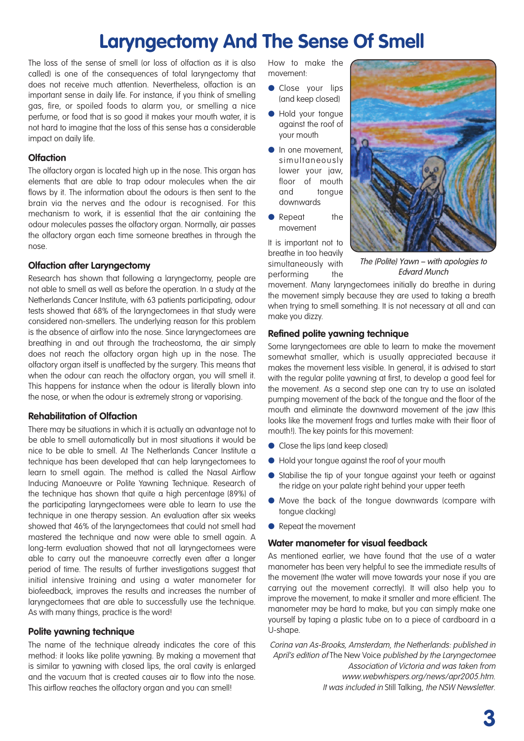## **Laryngectomy And The Sense Of Smell**

The loss of the sense of smell (or loss of olfaction as it is also called) is one of the consequences of total laryngectomy that does not receive much attention. Nevertheless, olfaction is an important sense in daily life. For instance, if you think of smelling gas, fire, or spoiled foods to alarm you, or smelling a nice perfume, or food that is so good it makes your mouth water, it is not hard to imagine that the loss of this sense has a considerable impact on daily life.

#### **Olfaction**

The olfactory organ is located high up in the nose. This organ has elements that are able to trap odour molecules when the air flows by it. The information about the odours is then sent to the brain via the nerves and the odour is recognised. For this mechanism to work, it is essential that the air containing the odour molecules passes the olfactory organ. Normally, air passes the olfactory organ each time someone breathes in through the nose.

#### **Olfaction after Laryngectomy**

Research has shown that following a laryngectomy, people are not able to smell as well as before the operation. In a study at the Netherlands Cancer Institute, with 63 patients participating, odour tests showed that 68% of the laryngectomees in that study were considered non-smellers. The underlying reason for this problem is the absence of airflow into the nose. Since laryngectomees are breathing in and out through the tracheostoma, the air simply does not reach the olfactory organ high up in the nose. The olfactory organ itself is unaffected by the surgery. This means that when the odour can reach the olfactory organ, you will smell it. This happens for instance when the odour is literally blown into the nose, or when the odour is extremely strong or vaporising.

#### **Rehabilitation of Olfaction**

There may be situations in which it is actually an advantage not to be able to smell automatically but in most situations it would be nice to be able to smell. At The Netherlands Cancer Institute a technique has been developed that can help laryngectomees to learn to smell again. The method is called the Nasal Airflow Inducing Manoeuvre or Polite Yawning Technique. Research of the technique has shown that quite a high percentage (89%) of the participating laryngectomees were able to learn to use the technique in one therapy session. An evaluation after six weeks showed that 46% of the laryngectomees that could not smell had mastered the technique and now were able to smell again. A long-term evaluation showed that not all laryngectomees were able to carry out the manoeuvre correctly even after a longer period of time. The results of further investigations suggest that initial intensive training and using a water manometer for biofeedback, improves the results and increases the number of laryngectomees that are able to successfully use the technique. As with many things, practice is the word!

#### **Polite yawning technique**

The name of the technique already indicates the core of this method: it looks like polite yawning. By making a movement that is similar to yawning with closed lips, the oral cavity is enlarged and the vacuum that is created causes air to flow into the nose. This airflow reaches the olfactory organ and you can smell!

How to make the movement:

- **Close your lips** (and keep closed)
- **I** Hold your tongue against the roof of your mouth
- In one movement, simultaneously lower your jaw, floor of mouth and tongue downwards
- **e** Repeat the movement

It is important not to breathe in too heavily simultaneously with performing the



movement. Many laryngectomees initially do breathe in during the movement simply because they are used to taking a breath when trying to smell something. It is not necessary at all and can make you dizzy.

#### **Refined polite yawning technique**

Some laryngectomees are able to learn to make the movement somewhat smaller, which is usually appreciated because it makes the movement less visible. In general, it is advised to start with the regular polite yawning at first, to develop a good feel for the movement. As a second step one can try to use an isolated pumping movement of the back of the tongue and the floor of the mouth and eliminate the downward movement of the jaw (this looks like the movement frogs and turtles make with their floor of mouth!). The key points for this movement:

- **c** Close the lips (and keep closed)
- l Hold your tongue against the roof of your mouth
- **•** Stabilise the tip of your tongue against your teeth or against the ridge on your palate right behind your upper teeth
- **.** Move the back of the tongue downwards (compare with tongue clacking)
- Repeat the movement

#### **Water manometer for visual feedback**

As mentioned earlier, we have found that the use of a water manometer has been very helpful to see the immediate results of the movement (the water will move towards your nose if you are carrying out the movement correctly). It will also help you to improve the movement, to make it smaller and more efficient. The manometer may be hard to make, but you can simply make one yourself by taping a plastic tube on to a piece of cardboard in a U-shape.

Corina van As-Brooks, Amsterdam, the Netherlands: published in April's edition of The New Voice published by the Laryngectomee Association of Victoria and was taken from www.webwhispers.org/news/apr2005.htm. It was included in Still Talking, the NSW Newsletter.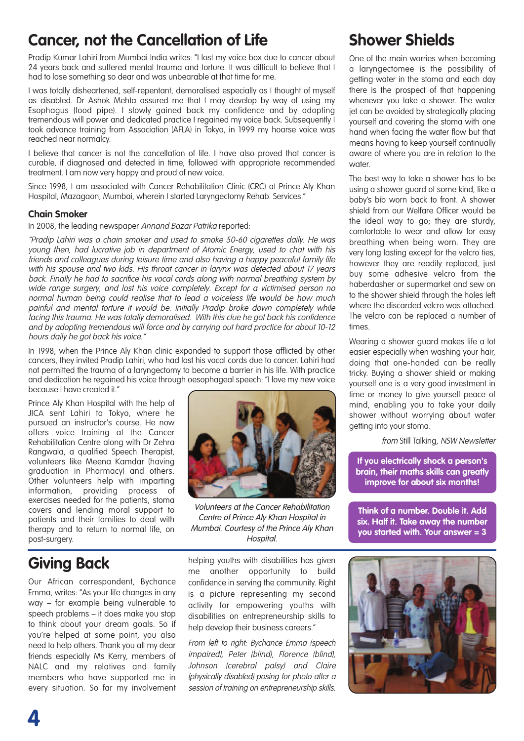### **Cancer, not the Cancellation of Life**

Pradip Kumar Lahiri from Mumbai India writes: "I lost my voice box due to cancer about 24 years back and suffered mental trauma and torture. It was difficult to believe that I had to lose something so dear and was unbearable at that time for me.

I was totally disheartened, self-repentant, demoralised especially as I thought of myself as disabled. Dr Ashok Mehta assured me that I may develop by way of using my Esophagus (food pipe). I slowly gained back my confidence and by adopting tremendous will power and dedicated practice I regained my voice back. Subsequently I took advance training from Association (AFLA) in Tokyo, in 1999 my hoarse voice was reached near normalcy.

I believe that cancer is not the cancellation of life. I have also proved that cancer is curable, if diagnosed and detected in time, followed with appropriate recommended treatment. I am now very happy and proud of new voice.

Since 1998, I am associated with Cancer Rehabilitation Clinic (CRC) at Prince Aly Khan Hospital, Mazagaon, Mumbai, wherein I started Laryngectomy Rehab. Services."

#### **Chain Smoker**

In 2008, the leading newspaper Annand Bazar Patrika reported:

"Pradip Lahiri was <sup>a</sup> chain smoker and used to smoke 50-60 cigarettes daily. He was young then, had lucrative job in department of Atomic Energy, used to chat with his friends and colleagues during leisure time and also having <sup>a</sup> happy peaceful family life with his spouse and two kids. His throat cancer in larynx was detected about 17 years back. Finally he had to sacrifice his vocal cords along with normal breathing system by wide range surgery, and lost his voice completely. Except for <sup>a</sup> victimised person no normal human being could realise that to lead <sup>a</sup> voiceless life would be how much painful and mental torture it would be. Initially Pradip broke down completely while facing this trauma. He was totally demoralised. With this clue he got back his confidence and by adopting tremendous will force and by carrying out hard practice for about 10-12 hours daily he got back his voice."

In 1998, when the Prince Aly Khan clinic expanded to support those afflicted by other cancers, they invited Pradip Lahiri, who had lost his vocal cords due to cancer. Lahiri had not permitted the trauma of a laryngectomy to become a barrier in his life. With practice and dedication he regained his voice through oesophageal speech: "I love my new voice because I have created it."

Prince Aly Khan Hospital with the help of JICA sent Lahiri to Tokyo, where he pursued an instructor's course. He now offers voice training at the Cancer Rehabilitation Centre along with Dr Zehra Rangwala, a qualified Speech Therapist, volunteers like Meena Kamdar (having graduation in Pharmacy) and others. Other volunteers help with imparting information, providing process of exercises needed for the patients, stoma covers and lending moral support to patients and their families to deal with therapy and to return to normal life, on post-surgery.

## **Giving Back**

Our African correspondent, Bychance Emma, writes: "As your life changes in any way – for example being vulnerable to speech problems – it does make you stop to think about your dream goals. So if you're helped at some point, you also need to help others. Thank you all my dear friends especially Ms Kerry, members of NALC and my relatives and family members who have supported me in every situation. So far my involvement



Volunteers at the Cancer Rehabilitation Centre of Prince Aly Khan Hospital in Mumbai. Courtesy of the Prince Aly Khan Hospital.

helping youths with disabilities has given me another opportunity to build confidence in serving the community. Right is a picture representing my second activity for empowering youths with disabilities on entrepreneurship skills to help develop their business careers."

From left to right: Bychance Emma (speech impaired), Peter (blind), Florence (blind), Johnson (cerebral palsy) and Claire (physically disabled) posing for photo after <sup>a</sup> session of training on entrepreneurship skills.

## **Shower Shields**

One of the main worries when becoming a laryngectomee is the possibility of getting water in the stoma and each day there is the prospect of that happening whenever you take a shower. The water jet can be avoided by strategically placing yourself and covering the stoma with one hand when facing the water flow but that means having to keep yourself continually aware of where you are in relation to the water.

The best way to take a shower has to be using a shower guard of some kind, like a baby's bib worn back to front. A shower shield from our Welfare Officer would be the ideal way to go; they are sturdy, comfortable to wear and allow for easy breathing when being worn. They are very long lasting except for the velcro ties, however they are readily replaced, just buy some adhesive velcro from the haberdasher or supermarket and sew on to the shower shield through the holes left where the discarded velcro was attached. The velcro can be replaced a number of times.

Wearing a shower guard makes life a lot easier especially when washing your hair, doing that one-handed can be really tricky. Buying a shower shield or making yourself one is a very good investment in time or money to give yourself peace of mind, enabling you to take your daily shower without worrying about water getting into your stoma.

from Still Talking, NSW Newsletter

**If you electrically shock a person's brain, their maths skills can greatly improve for about six months!**

**Think of a number. Double it. Add six. Half it. Take away the number you started with. Your answer = 3**

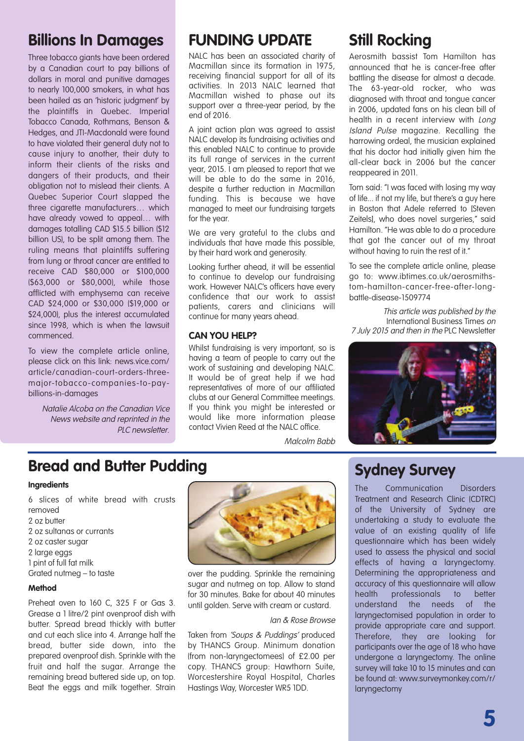### **Billions In Damages**

Three tobacco giants have been ordered by a Canadian court to pay billions of dollars in moral and punitive damages to nearly 100,000 smokers, in what has been hailed as an 'historic judgment' by the plaintiffs in Quebec. Imperial Tobacco Canada, Rothmans, Benson & Hedges, and JTI-Macdonald were found to have violated their general duty not to cause injury to another, their duty to inform their clients of the risks and dangers of their products, and their obligation not to mislead their clients. A Quebec Superior Court slapped the three cigarette manufacturers… which have already vowed to appeal… with damages totalling CAD \$15.5 billion (\$12 billion US), to be split among them. The ruling means that plaintiffs suffering from lung or throat cancer are entitled to receive CAD \$80,000 or \$100,000 (\$63,000 or \$80,000), while those afflicted with emphysema can receive CAD \$24,000 or \$30,000 (\$19,000 or \$24,000), plus the interest accumulated since 1998, which is when the lawsuit commenced.

To view the complete article online, please click on this link: news.vice.com/ article/canadian-court-orders-threemajor-tobacco-companies-to-paybillions-in-damages

Natalie Alcoba on the Canadian Vice News website and reprinted in the PLC newsletter.

### **FUNDING UPDATE**

NALC has been an associated charity of Macmillan since its formation in 1975, receiving financial support for all of its activities. In 2013 NALC learned that Macmillan wished to phase out its support over a three-vear period, by the end of 2016.

A joint action plan was agreed to assist NALC develop its fundraising activities and this enabled NALC to continue to provide its full range of services in the current year, 2015. I am pleased to report that we will be able to do the same in 2016, despite a further reduction in Macmillan funding. This is because we have managed to meet our fundraising targets for the year.

We are very arateful to the clubs and individuals that have made this possible, by their hard work and generosity.

Looking further ahead, it will be essential to continue to develop our fundraising work. However NALC's officers have every confidence that our work to assist patients, carers and clinicians will continue for many years ahead.

#### **CAN YOU HELP?**

Whilst fundraising is very important, so is having a team of people to carry out the work of sustaining and developing NALC. It would be of great help if we had representatives of more of our affiliated clubs at our General Committee meetings. If you think you might be interested or would like more information please contact Vivien Reed at the NALC office.

**Still Rocking**

Aerosmith bassist Tom Hamilton has announced that he is cancer-free after battling the disease for almost a decade. The 63-year-old rocker, who was diagnosed with throat and tongue cancer in 2006, updated fans on his clean bill of health in a recent interview with Long Island Pulse magazine. Recalling the harrowing ordeal, the musician explained that his doctor had initially given him the all-clear back in 2006 but the cancer reappeared in 2011.

Tom said: "I was faced with losing my way of life... if not my life, but there's a guy here in Boston that Adele referred to [Steven Zeitels], who does novel surgeries," said Hamilton. "He was able to do a procedure that got the cancer out of my throat without having to ruin the rest of it."

To see the complete article online, please go to: www.ibtimes.co.uk/aerosmithstom-hamilton-cancer-free-after-longbattle-disease-1509774

This article was published by the International Business Times on 7 July 2015 and then in the PLC Newsletter



### **Bread and Butter Pudding**

#### **Ingredients**

 slices of white bread with crusts removed oz butter oz sultanas or currants oz caster sugar large eggs pint of full fat milk Grated nutmeg – to taste

#### **Method**

Preheat oven to 160 C, 325 F or Gas 3. Grease a 1 litre/2 pint ovenproof dish with butter. Spread bread thickly with butter and cut each slice into 4. Arrange half the bread, butter side down, into the prepared ovenproof dish. Sprinkle with the fruit and half the sugar. Arrange the remaining bread buttered side up, on top. Beat the eggs and milk together. Strain



over the pudding. Sprinkle the remaining sugar and nutmeg on top. Allow to stand for 30 minutes. Bake for about 40 minutes until golden. Serve with cream or custard.

#### Ian & Rose Browse

Malcolm Babb

Taken from 'Soups & Puddings' produced by THANCS Group. Minimum donation (from non-laryngectomees) of £2.00 per copy. THANCS group: Hawthorn Suite, Worcestershire Royal Hospital, Charles Hastings Way, Worcester WR5 1DD.

### **Sydney Survey**

The Communication Disorders Treatment and Research Clinic (CDTRC) of the University of Sydney are undertaking a study to evaluate the value of an existing quality of life questionnaire which has been widely used to assess the physical and social effects of having a laryngectomy. Determining the appropriateness and accuracy of this questionnaire will allow health professionals to better understand the needs of the laryngectomised population in order to provide appropriate care and support. Therefore, they are looking for participants over the age of 18 who have undergone a laryngectomy. The online survey will take 10 to 15 minutes and can be found at: www.surveymonkey.com/r/ laryngectomy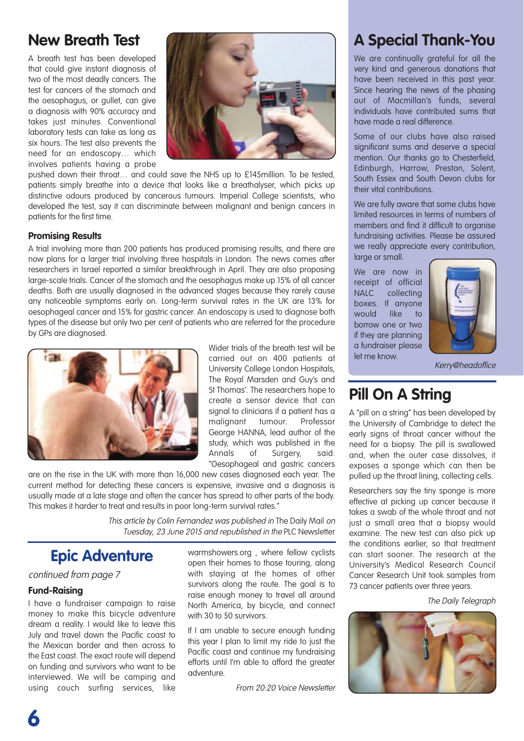### **New Breath Test**

A breath test has been developed that could give instant diagnosis of two of the most deadly cancers. The test for cancers of the stomach and the oesophagus, or gullet, can give a diagnosis with 90% accuracy and takes just minutes. Conventional laboratory tests can take as long as six hours. The test also prevents the need for an endoscopy… which involves patients having a probe



pushed down their throat… and could save the NHS up to £145million. To be tested, patients simply breathe into a device that looks like a breathalyser, which picks up distinctive odours produced by cancerous tumours. Imperial College scientists, who developed the test, say it can discriminate between malignant and benign cancers in patients for the first time.

#### **Promising Results**

A trial involving more than 200 patients has produced promising results, and there are now plans for a larger trial involving three hospitals in London. The news comes after researchers in Israel reported a similar breakthrough in April. They are also proposing large-scale trials. Cancer of the stomach and the oesophagus make up 15% of all cancer deaths. Both are usually diagnosed in the advanced stages because they rarely cause any noticeable symptoms early on. Long-term survival rates in the UK are 13% for oesophageal cancer and 15% for gastric cancer. An endoscopy is used to diagnose both types of the disease but only two per cent of patients who are referred for the procedure by GPs are diagnosed.



Wider trials of the breath test will be carried out on 400 patients at University College London Hospitals, The Royal Marsden and Guy's and St Thomas'. The researchers hope to create a sensor device that can signal to clinicians if a patient has a malignant tumour. Professor George HANNA, lead author of the study, which was published in the Annals of Surgery, said: "Oesophageal and gastric cancers

are on the rise in the UK with more than 16,000 new cases diagnosed each year. The current method for detecting these cancers is expensive, invasive and a diagnosis is usually made at a late stage and often the cancer has spread to other parts of the body. This makes it harder to treat and results in poor long-term survival rates."

> This article by Colin Fernandez was published in The Daily Mail on Tuesday, 23 June 2015 and republished in the PLC Newsletter

### **Epic Adventure**

continued from page 7

#### **Fund-Raising**

**6**

I have a fundraiser campaign to raise money to make this bicycle adventure dream a reality. I would like to leave this July and travel down the Pacific coast to the Mexican border and then across to the East coast. The exact route will depend on funding and survivors who want to be interviewed. We will be camping and using couch surfing services, like

warmshowers.org , where fellow cyclists open their homes to those touring, along with staying at the homes of other survivors along the route. The goal is to raise enough money to travel all around North America, by bicycle, and connect with 30 to 50 survivors.

If I am unable to secure enough funding this year I plan to limit my ride to just the Pacific coast and continue my fundraising efforts until I'm able to afford the greater adventure.

From 20:20 Voice Newsletter

## **A Special Thank-You**

We are continually grateful for all the very kind and generous donations that have been received in this past year. Since hearing the news of the phasing out of Macmillan's funds, several individuals have contributed sums that have made a real difference.

Some of our clubs have also raised significant sums and deserve a special mention. Our thanks go to Chesterfield, Edinburgh, Harrow, Preston, Solent, South Essex and South Devon clubs for their vital contributions.

We are fully aware that some clubs have limited resources in terms of numbers of members and find it difficult to organise fundraising activities. Please be assured we really appreciate every contribution, large or small.

We are now in receipt of official NALC collecting boxes. If anyone would like to borrow one or two if they are planning a fundraiser please let me know.



Kerry@headoffice

### **Pill On A String**

A "pill on a string" has been developed by the University of Cambridge to detect the early signs of throat cancer without the need for a biopsy. The pill is swallowed and, when the outer case dissolves, it exposes a sponge which can then be pulled up the throat lining, collecting cells.

Researchers say the tiny sponge is more effective at picking up cancer because it takes a swab of the whole throat and not just a small area that a biopsy would examine. The new test can also pick up the conditions earlier, so that treatment can start sooner. The research at the University's Medical Research Council Cancer Research Unit took samples from 73 cancer patients over three years.

The Daily Telegraph

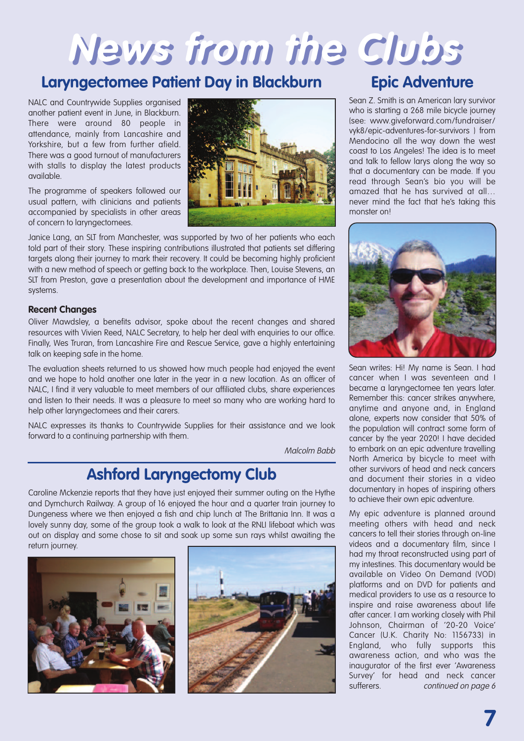# **News from the Clubs**

### **Laryngectomee Patient Day in Blackburn Epic Adventure**

NALC and Countrywide Supplies organised another patient event in June, in Blackburn. There were around 80 people in attendance, mainly from Lancashire and Yorkshire, but a few from further afield. There was a good turnout of manufacturers with stalls to display the latest products available.

The programme of speakers followed our usual pattern, with clinicians and patients accompanied by specialists in other areas of concern to laryngectomees.



Janice Lang, an SLT from Manchester, was supported by two of her patients who each told part of their story. These inspiring contributions illustrated that patients set differing targets along their journey to mark their recovery. It could be becoming highly proficient with a new method of speech or getting back to the workplace. Then, Louise Stevens, an SLT from Preston, gave a presentation about the development and importance of HME systems.

#### **Recent Changes**

Oliver Mawdsley, a benefits advisor, spoke about the recent changes and shared resources with Vivien Reed, NALC Secretary, to help her deal with enquiries to our office. Finally, Wes Truran, from Lancashire Fire and Rescue Service, gave a highly entertaining talk on keeping safe in the home.

The evaluation sheets returned to us showed how much people had enjoyed the event and we hope to hold another one later in the year in a new location. As an officer of NALC, I find it very valuable to meet members of our affiliated clubs, share experiences and listen to their needs. It was a pleasure to meet so many who are working hard to help other laryngectomees and their carers.

NALC expresses its thanks to Countrywide Supplies for their assistance and we look forward to a continuing partnership with them.

Malcolm Babb

## **Ashford Laryngectomy Club**

Caroline Mckenzie reports that they have just enjoyed their summer outing on the Hythe and Dymchurch Railway. A group of 16 enjoyed the hour and a quarter train journey to Dungeness where we then enjoyed a fish and chip lunch at The Brittania Inn. It was a lovely sunny day, some of the group took a walk to look at the RNLI lifeboat which was out on display and some chose to sit and soak up some sun rays whilst awaiting the return journey.





Sean Z. Smith is an American lary survivor who is starting a 268 mile bicycle journey (see: www.giveforward.com/fundraiser/ vyk8/epic-adventures-for-survivors ) from Mendocino all the way down the west coast to Los Angeles! The idea is to meet and talk to fellow larys along the way so that a documentary can be made. If you read through Sean's bio you will be amazed that he has survived at all… never mind the fact that he's taking this monster on!



Sean writes: Hi! My name is Sean. I had cancer when I was seventeen and I became a laryngectomee ten years later. Remember this: cancer strikes anywhere, anytime and anyone and, in England alone, experts now consider that 50% of the population will contract some form of cancer by the year 2020! I have decided to embark on an epic adventure travelling North America by bicycle to meet with other survivors of head and neck cancers and document their stories in a video documentary in hopes of inspiring others to achieve their own epic adventure.

My epic adventure is planned around meeting others with head and neck cancers to tell their stories through on-line videos and a documentary film, since I had my throat reconstructed using part of my intestines. This documentary would be available on Video On Demand (VOD) platforms and on DVD for patients and medical providers to use as a resource to inspire and raise awareness about life after cancer. I am working closely with Phil Johnson, Chairman of '20-20 Voice' Cancer (U.K. Charity No: 1156733) in England, who fully supports this awareness action, and who was the inaugurator of the first ever 'Awareness Survey' for head and neck cancer sufferers. continued on page 6